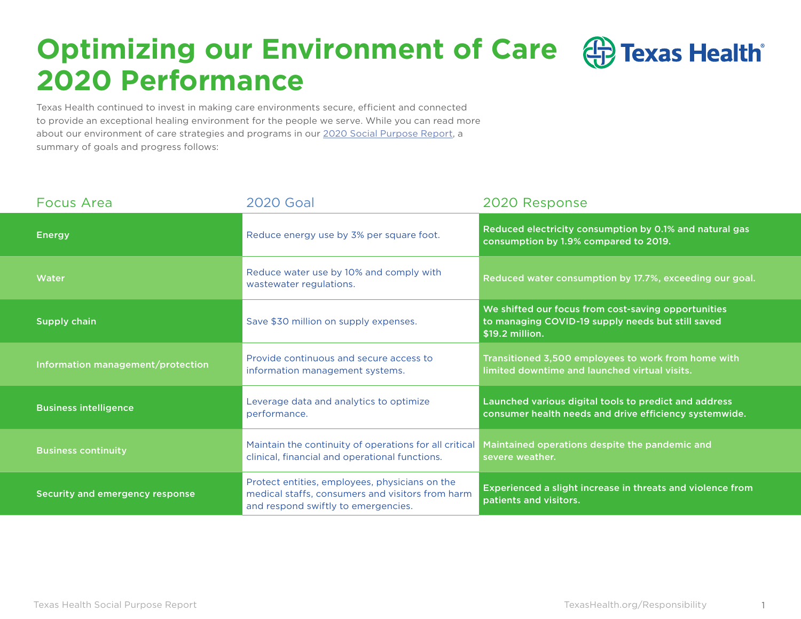### **Optimizing our Environment of Care ED** Texas Health **2020 Performance**

Texas Health continued to invest in making care environments secure, efficient and connected to provide an exceptional healing environment for the people we serve. While you can read more about our environment of care strategies and programs in our [2020 Social Purpose Report,](https://www.texashealth.org/responsibility/) a summary of goals and progress follows:

| <b>Focus Area</b>                 | <b>2020 Goal</b>                                                                                                                          | 2020 Response                                                                                                                |  |
|-----------------------------------|-------------------------------------------------------------------------------------------------------------------------------------------|------------------------------------------------------------------------------------------------------------------------------|--|
| <b>Energy</b>                     | Reduce energy use by 3% per square foot.                                                                                                  | Reduced electricity consumption by 0.1% and natural gas<br>consumption by 1.9% compared to 2019.                             |  |
| Water                             | Reduce water use by 10% and comply with<br>wastewater regulations.                                                                        | Reduced water consumption by 17.7%, exceeding our goal.                                                                      |  |
| <b>Supply chain</b>               | Save \$30 million on supply expenses.                                                                                                     | We shifted our focus from cost-saving opportunities<br>to managing COVID-19 supply needs but still saved<br>$$19.2$ million. |  |
| Information management/protection | Provide continuous and secure access to<br>information management systems.                                                                | Transitioned 3,500 employees to work from home with<br>limited downtime and launched virtual visits.                         |  |
| <b>Business intelligence</b>      | Leverage data and analytics to optimize<br>performance.                                                                                   | Launched various digital tools to predict and address<br>consumer health needs and drive efficiency systemwide.              |  |
| <b>Business continuity</b>        | Maintain the continuity of operations for all critical<br>clinical, financial and operational functions.                                  | Maintained operations despite the pandemic and<br>severe weather.                                                            |  |
| Security and emergency response   | Protect entities, employees, physicians on the<br>medical staffs, consumers and visitors from harm<br>and respond swiftly to emergencies. | Experienced a slight increase in threats and violence from<br>patients and visitors.                                         |  |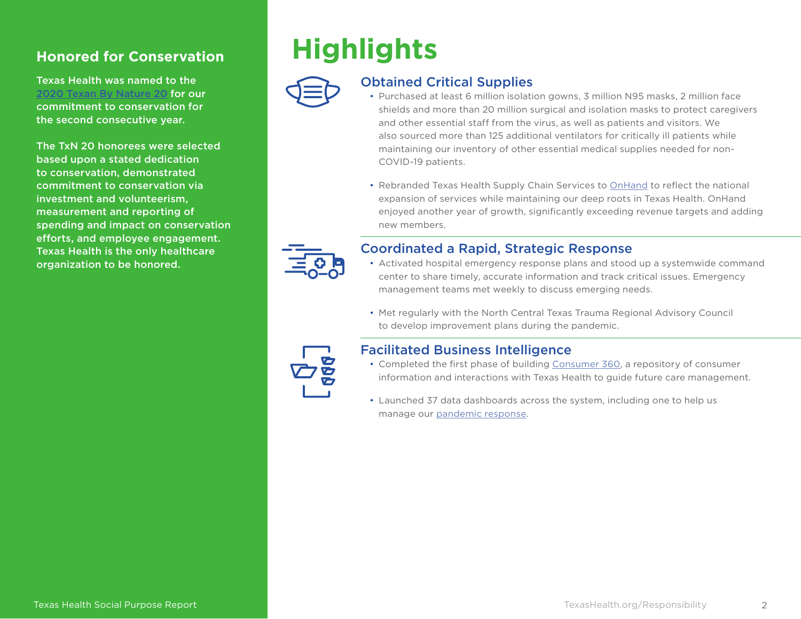Texas Health was named to the [2020 Texan By Nature 20](https://www.businesswire.com/news/home/20201020005092/en/Texan-Nature-Unveils-2020-Texan-Nature-20) for our commitment to conservation for the second consecutive year.

The TxN 20 honorees were selected based upon a stated dedication to conservation, demonstrated commitment to conservation via investment and volunteerism, measurement and reporting of spending and impact on conservation efforts, and employee engagement. Texas Health is the only healthcare organization to be honored.

## **Honored for Conservation Highlights**



#### Obtained Critical Supplies

- Purchased at least 6 million isolation gowns, 3 million N95 masks, 2 million face shields and more than 20 million surgical and isolation masks to protect caregivers and other essential staff from the virus, as well as patients and visitors. We also sourced more than 125 additional ventilators for critically ill patients while maintaining our inventory of other essential medical supplies needed for non-COVID-19 patients.
- Rebranded Texas Health Supply Chain Services to [OnHand](https://www.onhand.com/) to reflect the national expansion of services while maintaining our deep roots in Texas Health. OnHand enjoyed another year of growth, significantly exceeding revenue targets and adding new members.



#### Coordinated a Rapid, Strategic Response

- Activated hospital emergency response plans and stood up a systemwide command center to share timely, accurate information and track critical issues. Emergency management teams met weekly to discuss emerging needs.
- Met regularly with the North Central Texas Trauma Regional Advisory Council to develop improvement plans during the pandemic.



#### Facilitated Business Intelligence

- Completed the first phase of building [Consumer 360](https://www.texashealth.org/responsibility/Our-Consumers/Consumer-Insights), a repository of consumer information and interactions with Texas Health to guide future care management.
- Launched 37 data dashboards across the system, including one to help us manage our [pandemic response](https://www.texashealth.org/responsibility/Environment-of-Care/Optimizing-Business-Intelligence).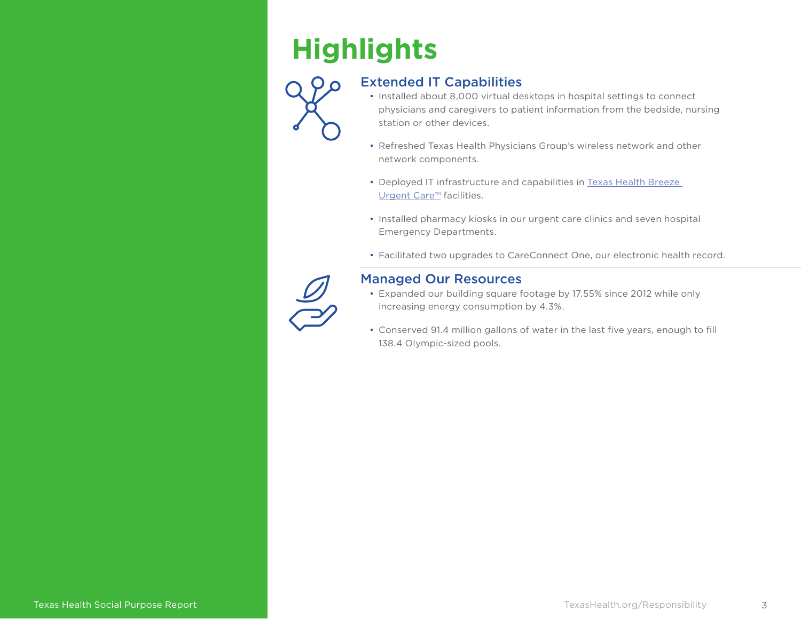# **Highlights**



### Extended IT Capabilities

- Installed about 8,000 virtual desktops in hospital settings to connect physicians and caregivers to patient information from the bedside, nursing station or other devices.
- Refreshed Texas Health Physicians Group's wireless network and other network components.
- Deployed IT infrastructure and capabilities in [Texas Health Breeze](https://www.texashealth.org/responsibility/Our-Consumers/Seamless-Care-Delivery)  [Urgent Care™](https://www.texashealth.org/responsibility/Our-Consumers/Seamless-Care-Delivery) facilities.
- Installed pharmacy kiosks in our urgent care clinics and seven hospital Emergency Departments.
- Facilitated two upgrades to CareConnect One, our electronic health record.



#### Managed Our Resources

- Expanded our building square footage by 17.55% since 2012 while only increasing energy consumption by 4.3%.
- Conserved 91.4 million gallons of water in the last five years, enough to fill 138.4 Olympic-sized pools.